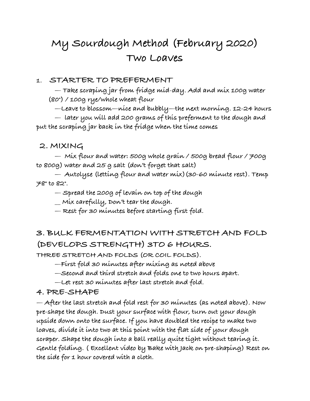# **My Sourdough Method (February 2020) Two Loaves**

#### **1. STARTER TO PREFERMENT**

 **— Take scraping jar from fridge mid-day. Add and mix 100g water (80°) / 100g rye/whole wheat flour** 

 **—Leave to blossom—nice and bubbly—the next morning. 12-24 hours** 

 **— later you will add 200 grams of this preferment to the dough and put the scraping jar back in the fridge when the time comes** 

#### **2. MIXING**

 **— Mix flour and water: 500g whole grain / 500g bread flour / 700g to 800g) water and 25 g salt (don't forget that salt)** 

 **— Autolyse (letting flour and water mix)(30-60 minute rest). Temp 78° to 82°.** 

 **— Spread the 200g of levain on top of the dough** 

 **\_\_ Mix carefully, Don't tear the dough.** 

 **— Rest for 30 minutes before starting first fold.**

### **3. BULK FERMENTATION WITH STRETCH AND FOLD (DEVELOPS STRENGTH) 3TO 6 HOURS.**

**THREE STRETCH AND FOLDS (OR COIL FOLDS).** 

 **—First fold 30 minutes after mixing as noted above** 

 **—Second and third stretch and folds one to two hours apart.** 

 **—Let rest 30 minutes after last stretch and fold.** 

#### **4. PRE-SHAPE**

**— After the last stretch and fold rest for 30 minutes (as noted above). Now pre-shape the dough. Dust your surface with flour, turn out your dough upside down onto the surface. If you have doubled the recipe to make two loaves, divide it into two at this point with the flat side of your dough scraper. Shape the dough into a ball really quite tight without tearing it. Gentle folding. ( Excellent video by Bake with Jack on pre-shaping) Rest on the side for 1 hour covered with a cloth.**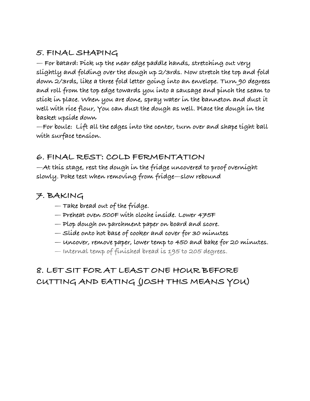### **5. FINAL SHAPING**

**— For batard: Pick up the near edge paddle hands, stretching out very slightly and folding over the dough up 2/3rds. Now stretch the top and fold down 2/3rds, like a three fold letter going into an envelope. Turn 90 degrees and roll from the top edge towards you into a sausage and pinch the seam to stick in place. When you are done, spray water in the banneton and dust it well with rice flour, You can dust the dough as well. Place the dough in the basket upside down** 

**—For boule: Lift all the edges into the center, turn over and shape tight ball with surface tension.** 

### **6. FINAL REST: COLD FERMENTATION**

**—At this stage, rest the dough in the fridge uncovered to proof overnight slowly. Poke test when removing from fridge—slow rebound** 

### **7. BAKING**

- **Take bread out of the fridge.**
- **Preheat oven 500F with cloche inside. Lower 475F**
- **Plop dough on parchment paper on board and score.**
- **Slide onto hot base of cooker and cover for 30 minutes**
- **Uncover, remove paper, lower temp to 450 and bake for 20 minutes.**
- **Internal temp of finished bread is 195 to 205 degrees.**

## **8. LET SIT FOR AT LEAST ONE HOUR BEFORE CUTTING AND EATING (JOSH THIS MEANS YOU)**